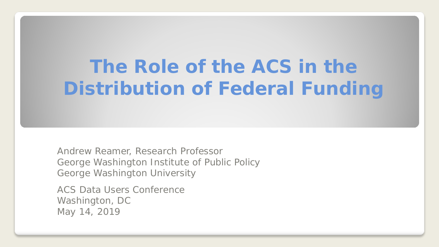# **The Role of the ACS in the Distribution of Federal Funding**

Andrew Reamer, Research Professor George Washington Institute of Public Policy George Washington University

ACS Data Users Conference Washington, DC May 14, 2019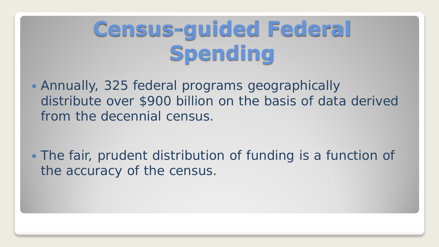# **Census-guided Federal Spending**

 Annually, 325 federal programs geographically distribute over \$900 billion on the basis of data derived from the decennial census.

• The fair, prudent distribution of funding is a function of the accuracy of the census.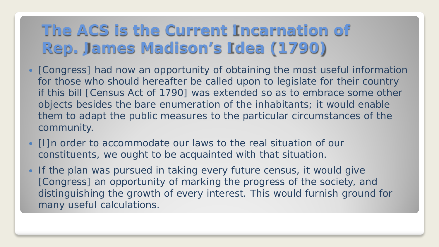#### **The ACS is the Current Incarnation of Rep. James Madison's Idea (1790)**

- [Congress] had now an opportunity of obtaining the most useful information for those who should hereafter be called upon to legislate for their country if this bill [Census Act of 1790] was extended so as to embrace some other objects besides the bare enumeration of the inhabitants; it would enable them to adapt the public measures to the particular circumstances of the community.
- [I]n order to accommodate our laws to the real situation of our constituents, we ought to be acquainted with that situation.
- If the plan was pursued in taking every future census, it would give [Congress] an opportunity of marking the progress of the society, and distinguishing the growth of every interest. This would furnish ground for many useful calculations.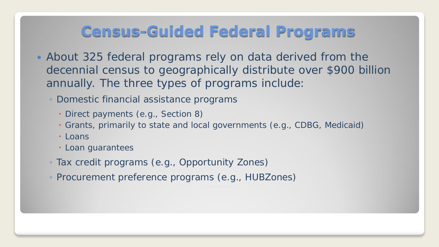#### **Census-Guided Federal Programs**

- About 325 federal programs rely on data derived from the decennial census to geographically distribute over \$900 billion annually. The three types of programs include:
	- Domestic financial assistance programs
		- Direct payments (e.g., Section 8)
		- Grants, primarily to state and local governments (e.g., CDBG, Medicaid)
		- Loans
		- Loan guarantees
	- Tax credit programs (e.g., Opportunity Zones)
	- Procurement preference programs (e.g., HUBZones)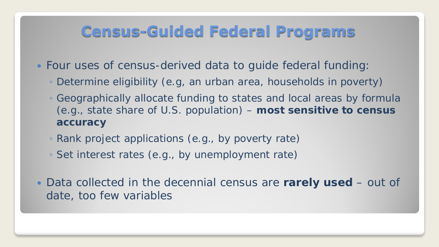#### **Census-Guided Federal Programs**

- Four uses of census-derived data to guide federal funding:
	- Determine eligibility (e.g, an urban area, households in poverty)
	- Geographically allocate funding to states and local areas by formula (e.g., state share of U.S. population) – **most sensitive to census accuracy**
	- Rank project applications (e.g., by poverty rate)
	- Set interest rates (e.g., by unemployment rate)
- Data collected in the decennial census are **rarely used** out of date, too few variables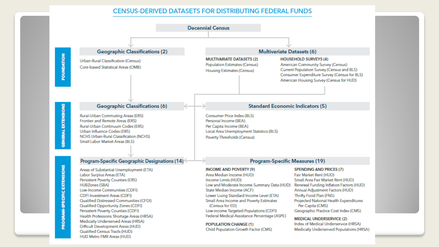#### **CENSUS-DERIVED DATASETS FOR DISTRIBUTING FEDERAL FUNDS**

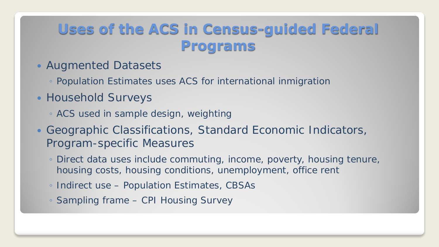#### **Uses of the ACS in Census-guided Federal Programs**

- Augmented Datasets
	- Population Estimates uses ACS for international inmigration
- Household Surveys
	- ACS used in sample design, weighting
- Geographic Classifications, Standard Economic Indicators, Program-specific Measures
	- Direct data uses include commuting, income, poverty, housing tenure, housing costs, housing conditions, unemployment, office rent
	- Indirect use Population Estimates, CBSAs
	- Sampling frame CPI Housing Survey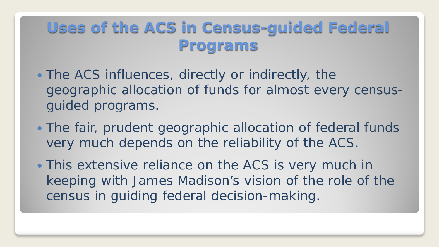### **Uses of the ACS in Census-guided Federal Programs**

- The ACS influences, directly or indirectly, the geographic allocation of funds for almost every censusguided programs.
- The fair, prudent geographic allocation of federal funds very much depends on the reliability of the ACS.
- This extensive reliance on the ACS is very much in keeping with James Madison's vision of the role of the census in guiding federal decision-making.